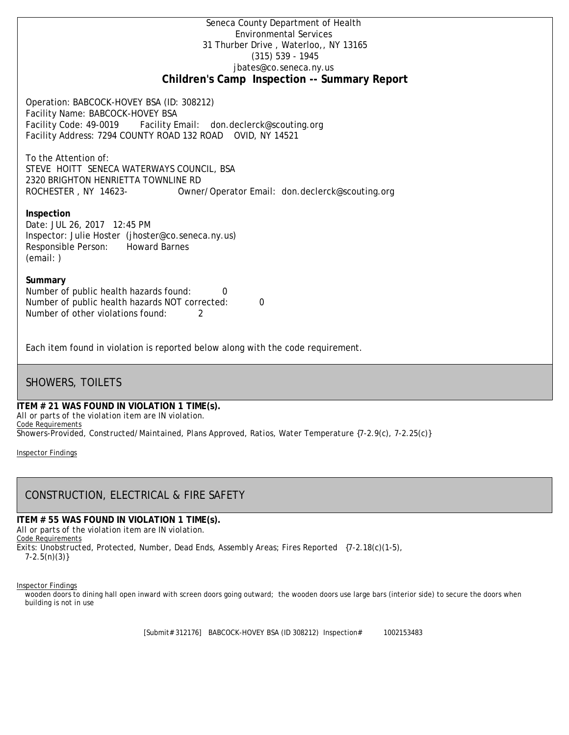### Seneca County Department of Health Environmental Services 31 Thurber Drive , Waterloo,, NY 13165 (315) 539 - 1945 [jbates@co.seneca.ny.us](mailto:jbates@co.seneca.ny.us) **Children's Camp Inspection -- Summary Report**

Operation: BABCOCK-HOVEY BSA (ID: 308212) Facility Name: BABCOCK-HOVEY BSA Facility Code: 49-0019 Facility Email: [don.declerck@scouting.org](mailto:don.declerck@scouting.org) Facility Address: 7294 COUNTY ROAD 132 ROAD OVID, NY 14521

To the Attention of: STEVE HOITT SENECA WATERWAYS COUNCIL, BSA 2320 BRIGHTON HENRIETTA TOWNLINE RD ROCHESTER , NY 14623- [Owner/Operator Email: don.declerck@scouting.org](mailto:don.declerck@scouting.org)

#### **Inspection**

Date: JUL 26, 2017 12:45 PM Inspector: Julie Hoster (jhoster@co.seneca.ny.us) Responsible Person: Howard Barnes (email: )

#### **Summary**

Number of public health hazards found: 0 Number of public health hazards NOT corrected: 0 Number of other violations found: 2

Each item found in violation is reported below along with the code requirement.

## SHOWERS, TOILETS

#### **ITEM # 21 WAS FOUND IN VIOLATION 1 TIME(s).**

*All or parts of the violation item are IN violation.* Code Requirements

*Showers-Provided, Constructed/Maintained, Plans Approved, Ratios, Water Temperature {7-2.9(c), 7-2.25(c)}*

Inspector Findings

# CONSTRUCTION, ELECTRICAL & FIRE SAFETY

**ITEM # 55 WAS FOUND IN VIOLATION 1 TIME(s).**

*All or parts of the violation item are IN violation.* Code Requirements *Exits: Unobstructed, Protected, Number, Dead Ends, Assembly Areas; Fires Reported {7-2.18(c)(1-5), 7-2.5(n)(3)}*

#### Inspector Findings

wooden doors to dining hall open inward with screen doors going outward; the wooden doors use large bars (interior side) to secure the doors when building is not in use

[Submit# 312176] BABCOCK-HOVEY BSA (ID 308212) Inspection# 1002153483